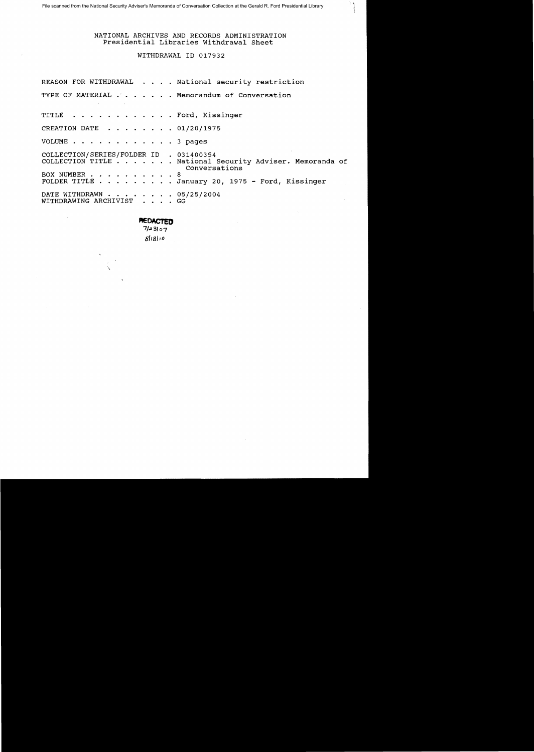## NATIONAL ARCHIVES AND RECORDS ADMINISTRATION Presidential Libraries withdrawal Sheet

 $\mathbb{C}$  $\ddot{\ddot{\phantom{}}\!\!}$ 

# WITHDRAWAL ID 017932

|                                                         | REASON FOR WITHDRAWAL National security restriction                                                                          |
|---------------------------------------------------------|------------------------------------------------------------------------------------------------------------------------------|
| the contract of the contract of the contract of the     | TYPE OF MATERIAL Memorandum of Conversation                                                                                  |
| TITLE Ford, Kissinger                                   |                                                                                                                              |
| CREATION DATE 01/20/1975                                |                                                                                                                              |
| VOLUME 3 pages                                          |                                                                                                                              |
| COLLECTION/SERIES/FOLDER ID . 031400354<br>BOX NUMBER 8 | COLLECTION TITLE National Security Adviser. Memoranda of<br>Conversations<br>FOLDER TITLE January 20, 1975 - Ford, Kissinger |
| DATE WITHDRAWN 05/25/2004<br>WITHDRAWING ARCHIVIST GG   |                                                                                                                              |

**PIEDACTED**  $7/23107$ 

*8118/10*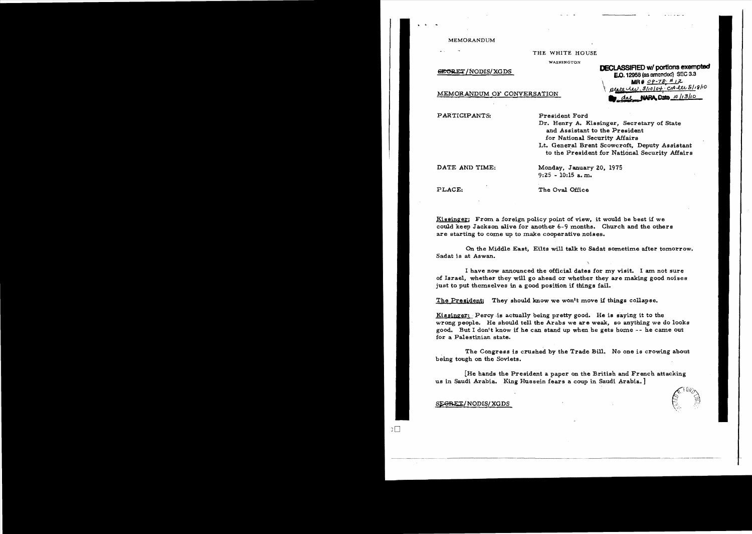MEMORANDUM

,.

THE WHITE HOUSE

WASHINGTON

**BEGRET / NODIS / XGDS** 

MEMORANDUM OF CONVERSATION

| <b>DECLASSIFIED w/ portions exempted</b> |
|------------------------------------------|
| E.O. 12958 (as amended) SEC 3.3          |
| $MR = 09 - 78.412$                       |
| pratecter. 3/10/04, CA et S/18/10        |
| das NARA Dato 10/13/10                   |

PARTICIPANTS: President Ford

Dr. Henry A. Kissinger, Secretary of State and Assistant to the President for National Security Affairs Lt. General Brent Scowcroft. Deputy Assistant to the President for National Security Affairs

DATE AND TIME: Monday, January 20, 1975 9:25 - 10:15 a. m.

PLACE: The Oval Office

 $Kisninger$ : From a foreign policy point of view, it would be best if we could keep Jackson alive for another 6-9 months, Church and the others are starting to come up to make cooperative noises.

On the Middle East, Eilts will talk to Sadat sometime after tomorrow. Sadat is at Aswan.

I have now announced the official dates for my visit. I am not sure of Israel, whether they will go ahead or wnetner tney are making good noises just to put themselves in a good position if things fail.

The President: They should know we won't move if things collapse.

Kissinger: . Percy .is actually being pretty good. He is saying it to the wrong people. He should tell the Arabs we are weak, so anything we do looks good. But I don't know if he can stand up when he gets home -- he came out for a Palestinian state.

The Congress is crushed by the Trade Bill. No one is crowing about being tough on the Soviets.

[He hands the President a paper on the British and French attacking us in Saudi Arabia. King Hussein fears a coup in Saudi Arabia. J

T. ,  $\rightarrow$   $\overline{\phantom{a}}$ ".."Y;'"

 $S_{\rm F}$ GRET/NODIS/XGDS

 $\overline{1}$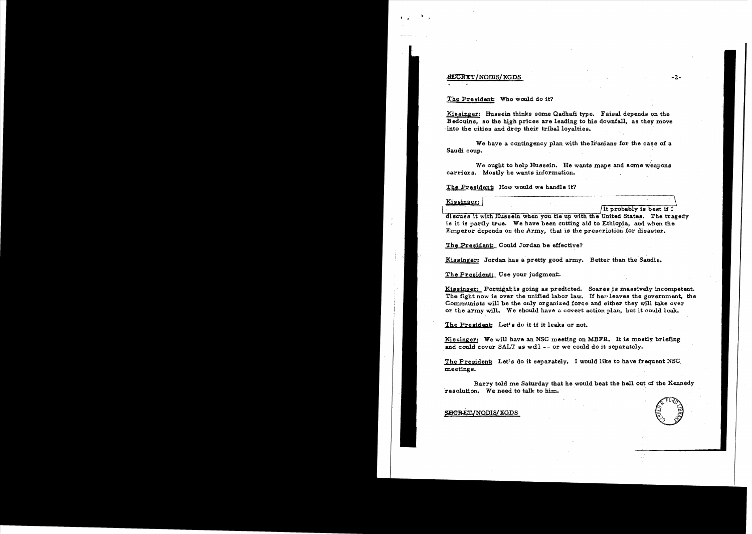### ~gt1tIINODIS/XGDS -2

•

### The President: Who would do it?

Kissinger: Hussein thinks some Qadhafi type. Faisal depends on the Bedouins, so the high prices are leading to his downfall, as they move into the cities and drop their tribal loyalties.

We have a contingency plan with the Iranians for the case of a Saudi coup.

We ought to help Hussein. He wants maps and some weapons carriers. Mostly he wants information.

#### The President How would we handle it?

Kissinger:<br>
It probably is best if I

discuss it with Hussein when you tie up with the United States. The tragedy is it is partly true. We have been cutting aid to Ethiopia, and when the Emperor depends on the Army, that is the prescription for disaster.

The President: Could Jordan be effective?

Kissinger: Jordan has a pretty good army. Better than the Saudis.

The President: Use your judgment.

Kissinger: Portigalis going as predicted. Soares is massively incompetent. The fight now is over the unified labor law. If he: leaves the government, the Communists will be the only organized force and either they will take over or the army will. We should have a covert action plan, but it could 1eak.

The President: Let's do it if it leaks or not.

Kissinger: We will have an NSC meeting on MBFR. It is mostly: briefing and could cover SALT as well -- or we could do it separately.

The President; Let's do it separately. I would like to have frequent NSC, meetings.

Barry told me Saturday that he would beat the hell out of the Kennedy resolution. We need to talk to him.

SECRET/NODIS/XGDS VERSER VERSER VERSER VERSER VERSER VERSER VERSER VERSER VERSER VERSER VERSER VERSER VERSER VE (1)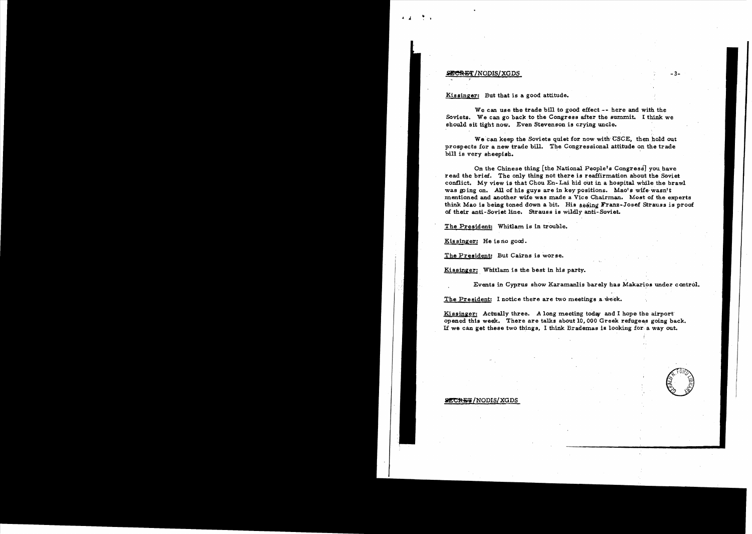## **ECRET/NODIS/XGDS**

•

 $^*$   $\mathbf{A}$ 

Kissinger: But that is a good attitude.

We can use the trade bill to good effect  $-$ - here and with the Soviets. We can go back to the Congress after the summit. I think we should sit tight now. Even Stevenson is crying uncle.

We can keep the Soviets quiet for now with CSCE, then hold out prospects for a new trade bill. The Congressional attitude on the trade bill is very sheepish.

On the Chinese thing [the National People's Congress] you have read the brief. Tbe only thing not there is reafiirmation about the Soviet conflict. My view is that Chou En~Lai hid out in a bospital while the brawl was going on. All of his guys are in key positions. Mao's wife wasn't mentioned and another wife was made a Vice Chairman. Most of the experts think Mao is being toned down a bit. His seeing Franz-Josef Strauss is proof of their anti-Soviet line. Strauss is wildly anti-Soviet.

The President: Whitlam is in trouble.

Kissinger: He is no good.

The President: But Cairns is worse.

Kissinger: Wbitlam is the best in his party.

Events in Cyprus show Karamanlis barely has Makaries under control.

The President: I notice there are two meetings a week.

Kissinger: Actually three. A long meeting today and I hope the airport' opened this week. There are talks about 10,000 Greek refugees going back. If we can get these two things, I think Brademas is looking for a way out.



#### **SECRET/NODIS/XGDS**